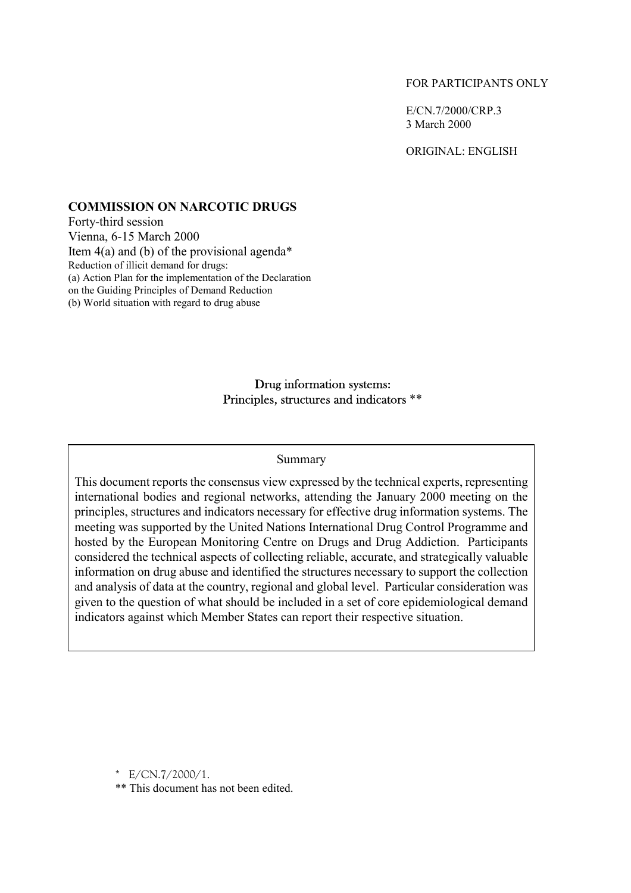#### FOR PARTICIPANTS ONLY

E/CN.7/2000/CRP.3 3 March 2000

ORIGINAL: ENGLISH

# **COMMISSION ON NARCOTIC DRUGS**

Forty-third session Vienna, 6-15 March 2000 Item  $4(a)$  and (b) of the provisional agenda\* Reduction of illicit demand for drugs: (a) Action Plan for the implementation of the Declaration on the Guiding Principles of Demand Reduction (b) World situation with regard to drug abuse

# Drug information systems: Principles, structures and indicators \*\*

#### Summary

This document reports the consensus view expressed by the technical experts, representing international bodies and regional networks, attending the January 2000 meeting on the principles, structures and indicators necessary for effective drug information systems. The meeting was supported by the United Nations International Drug Control Programme and hosted by the European Monitoring Centre on Drugs and Drug Addiction. Participants considered the technical aspects of collecting reliable, accurate, and strategically valuable information on drug abuse and identified the structures necessary to support the collection and analysis of data at the country, regional and global level. Particular consideration was given to the question of what should be included in a set of core epidemiological demand indicators against which Member States can report their respective situation.

\* E/CN.7/2000/1.

\*\* This document has not been edited.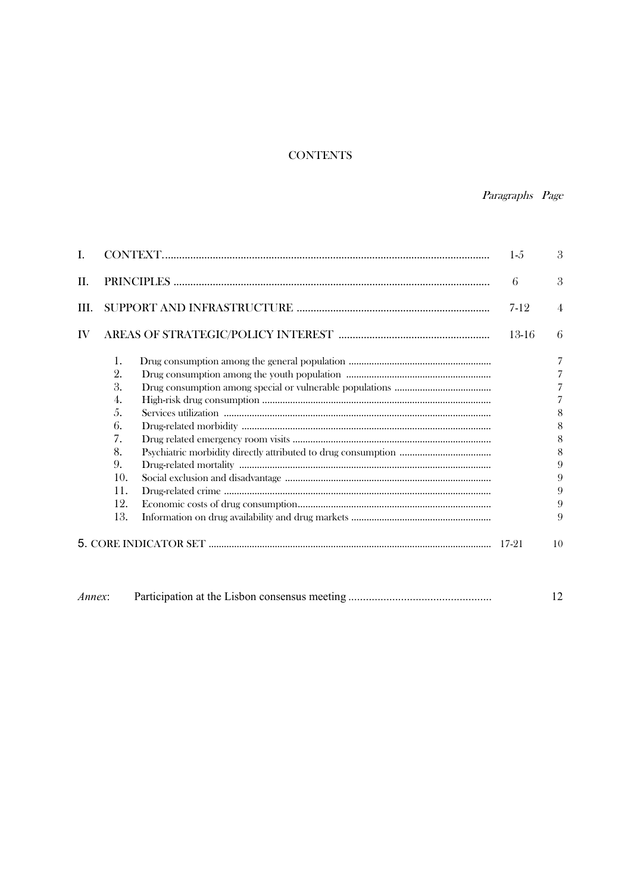# **CONTENTS**

# Paragraphs Page

| I.   |     |  | $1 - 5$ | 3              |
|------|-----|--|---------|----------------|
| II.  |     |  |         | 3              |
| III. |     |  | 7-12    | $\overline{4}$ |
| IV   |     |  | 13-16   | 6              |
|      | 1.  |  |         | 7              |
|      | 2.  |  |         | 7              |
|      | 3.  |  |         | 7              |
|      | 4.  |  |         | 7              |
|      | 5.  |  |         | 8              |
|      | 6.  |  |         | 8              |
|      | 7.  |  |         | 8              |
|      | 8.  |  |         | 8              |
|      | 9.  |  |         | 9              |
|      | 10. |  |         | 9              |
|      | 11. |  |         | 9              |
|      | 12. |  |         | 9              |
|      | 13. |  |         | 9              |
|      |     |  | 17-21   | 10             |
|      |     |  |         |                |

| Annex: |  |  |
|--------|--|--|
|--------|--|--|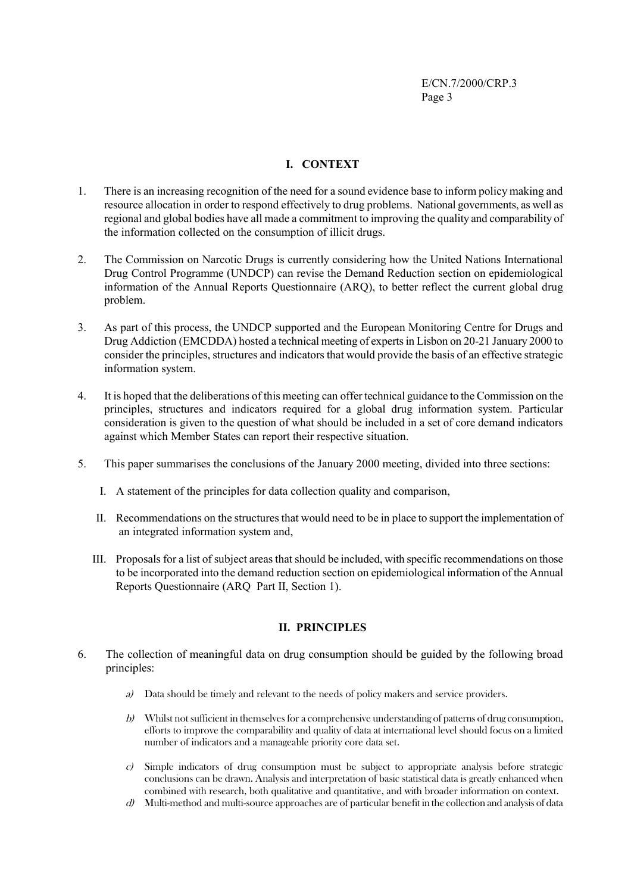# **I. CONTEXT**

- 1. There is an increasing recognition of the need for a sound evidence base to inform policy making and resource allocation in order to respond effectively to drug problems. National governments, as well as regional and global bodies have all made a commitment to improving the quality and comparability of the information collected on the consumption of illicit drugs.
- 2. The Commission on Narcotic Drugs is currently considering how the United Nations International Drug Control Programme (UNDCP) can revise the Demand Reduction section on epidemiological information of the Annual Reports Questionnaire (ARQ), to better reflect the current global drug problem.
- 3. As part of this process, the UNDCP supported and the European Monitoring Centre for Drugs and Drug Addiction (EMCDDA) hosted a technical meeting of experts in Lisbon on 20-21 January 2000 to consider the principles, structures and indicators that would provide the basis of an effective strategic information system.
- 4. It is hoped that the deliberations of this meeting can offer technical guidance to the Commission on the principles, structures and indicators required for a global drug information system. Particular consideration is given to the question of what should be included in a set of core demand indicators against which Member States can report their respective situation.
- 5. This paper summarises the conclusions of the January 2000 meeting, divided into three sections:
	- I. A statement of the principles for data collection quality and comparison,
	- II. Recommendations on the structures that would need to be in place to support the implementation of an integrated information system and,
	- III. Proposals for a list of subject areas that should be included, with specific recommendations on those to be incorporated into the demand reduction section on epidemiological information of the Annual Reports Questionnaire (ARQ Part II, Section 1).

## **II. PRINCIPLES**

- 6. The collection of meaningful data on drug consumption should be guided by the following broad principles:
	- a) Data should be timely and relevant to the needs of policy makers and service providers.
	- b) Whilst not sufficient in themselves for a comprehensive understanding of patterns of drug consumption, efforts to improve the comparability and quality of data at international level should focus on a limited number of indicators and a manageable priority core data set.
	- c) Simple indicators of drug consumption must be subject to appropriate analysis before strategic conclusions can be drawn. Analysis and interpretation of basic statistical data is greatly enhanced when combined with research, both qualitative and quantitative, and with broader information on context.
	- d) Multi-method and multi-source approaches are of particular benefit in the collection and analysis of data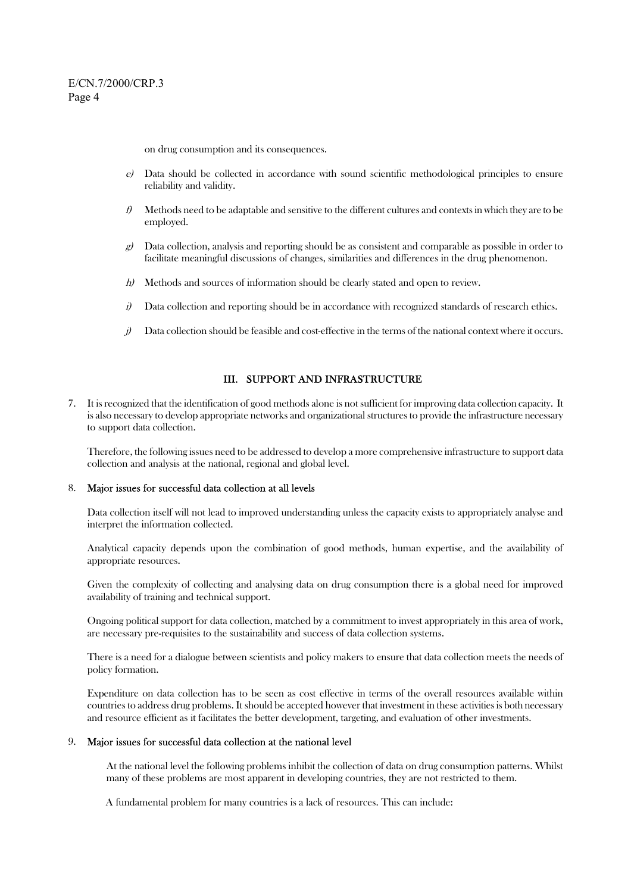on drug consumption and its consequences.

- e) Data should be collected in accordance with sound scientific methodological principles to ensure reliability and validity.
- $f$  Methods need to be adaptable and sensitive to the different cultures and contexts in which they are to be employed.
- $g$ ) Data collection, analysis and reporting should be as consistent and comparable as possible in order to facilitate meaningful discussions of changes, similarities and differences in the drug phenomenon.
- h) Methods and sources of information should be clearly stated and open to review.
- $i)$  Data collection and reporting should be in accordance with recognized standards of research ethics.
- $\hat{y}$  Data collection should be feasible and cost-effective in the terms of the national context where it occurs.

## III. SUPPORT AND INFRASTRUCTURE

7. It is recognized that the identification of good methods alone is not sufficient for improving data collection capacity. It is also necessary to develop appropriate networks and organizational structures to provide the infrastructure necessary to support data collection.

Therefore, the following issues need to be addressed to develop a more comprehensive infrastructure to support data collection and analysis at the national, regional and global level.

#### 8. Major issues for successful data collection at all levels

Data collection itself will not lead to improved understanding unless the capacity exists to appropriately analyse and interpret the information collected.

Analytical capacity depends upon the combination of good methods, human expertise, and the availability of appropriate resources.

Given the complexity of collecting and analysing data on drug consumption there is a global need for improved availability of training and technical support.

Ongoing political support for data collection, matched by a commitment to invest appropriately in this area of work, are necessary pre-requisites to the sustainability and success of data collection systems.

There is a need for a dialogue between scientists and policy makers to ensure that data collection meets the needs of policy formation.

Expenditure on data collection has to be seen as cost effective in terms of the overall resources available within countries to address drug problems. It should be accepted however that investment in these activities is both necessary and resource efficient as it facilitates the better development, targeting, and evaluation of other investments.

#### 9. Major issues for successful data collection at the national level

At the national level the following problems inhibit the collection of data on drug consumption patterns. Whilst many of these problems are most apparent in developing countries, they are not restricted to them.

A fundamental problem for many countries is a lack of resources. This can include: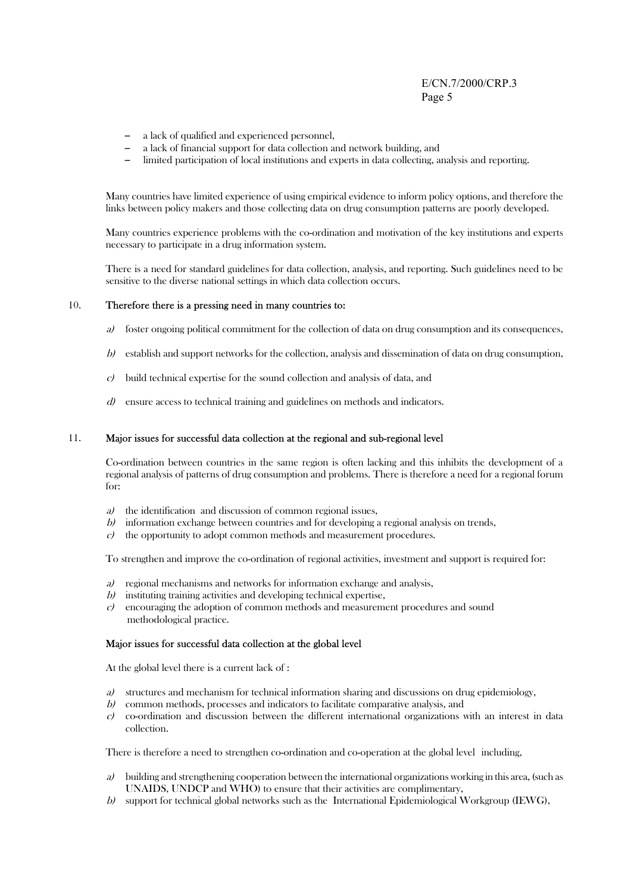- a lack of qualified and experienced personnel,
- a lack of financial support for data collection and network building, and
- limited participation of local institutions and experts in data collecting, analysis and reporting.

Many countries have limited experience of using empirical evidence to inform policy options, and therefore the links between policy makers and those collecting data on drug consumption patterns are poorly developed.

Many countries experience problems with the co-ordination and motivation of the key institutions and experts necessary to participate in a drug information system.

There is a need for standard guidelines for data collection, analysis, and reporting. Such guidelines need to be sensitive to the diverse national settings in which data collection occurs.

## 10. Therefore there is a pressing need in many countries to:

- a) foster ongoing political commitment for the collection of data on drug consumption and its consequences,
- b) establish and support networks for the collection, analysis and dissemination of data on drug consumption,
- $c$ ) build technical expertise for the sound collection and analysis of data, and
- d) ensure access to technical training and guidelines on methods and indicators.

#### 11. Major issues for successful data collection at the regional and sub-regional level

Co-ordination between countries in the same region is often lacking and this inhibits the development of a regional analysis of patterns of drug consumption and problems. There is therefore a need for a regional forum for:

- a) the identification and discussion of common regional issues,
- b) information exchange between countries and for developing a regional analysis on trends,
- $c$  the opportunity to adopt common methods and measurement procedures.

To strengthen and improve the co-ordination of regional activities, investment and support is required for:

- a) regional mechanisms and networks for information exchange and analysis,
- b) instituting training activities and developing technical expertise,
- c) encouraging the adoption of common methods and measurement procedures and sound methodological practice.

#### Major issues for successful data collection at the global level

At the global level there is a current lack of :

- a) structures and mechanism for technical information sharing and discussions on drug epidemiology,
- b) common methods, processes and indicators to facilitate comparative analysis, and
- c) co-ordination and discussion between the different international organizations with an interest in data collection.

There is therefore a need to strengthen co-ordination and co-operation at the global level including,

- a) building and strengthening cooperation between the international organizations working in this area, (such as UNAIDS, UNDCP and WHO) to ensure that their activities are complimentary,
- $b$ ) support for technical global networks such as the International Epidemiological Workgroup (IEWG),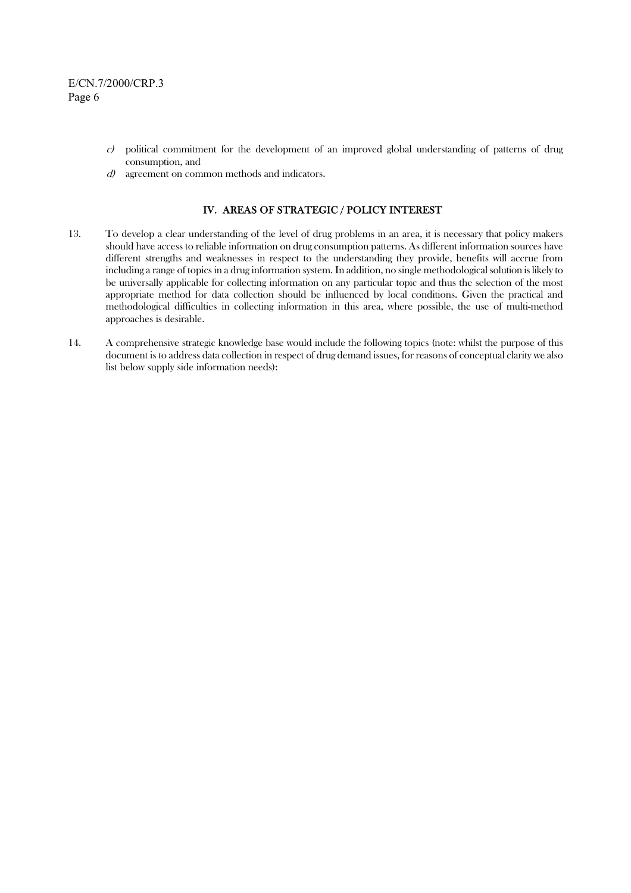- $c$ ) political commitment for the development of an improved global understanding of patterns of drug consumption, and
- d) agreement on common methods and indicators.

## IV. AREAS OF STRATEGIC / POLICY INTEREST

- 13. To develop a clear understanding of the level of drug problems in an area, it is necessary that policy makers should have access to reliable information on drug consumption patterns. As different information sources have different strengths and weaknesses in respect to the understanding they provide, benefits will accrue from including a range of topics in a drug information system. In addition, no single methodological solution is likely to be universally applicable for collecting information on any particular topic and thus the selection of the most appropriate method for data collection should be influenced by local conditions. Given the practical and methodological difficulties in collecting information in this area, where possible, the use of multi-method approaches is desirable.
- 14. A comprehensive strategic knowledge base would include the following topics (note: whilst the purpose of this document is to address data collection in respect of drug demand issues, for reasons of conceptual clarity we also list below supply side information needs):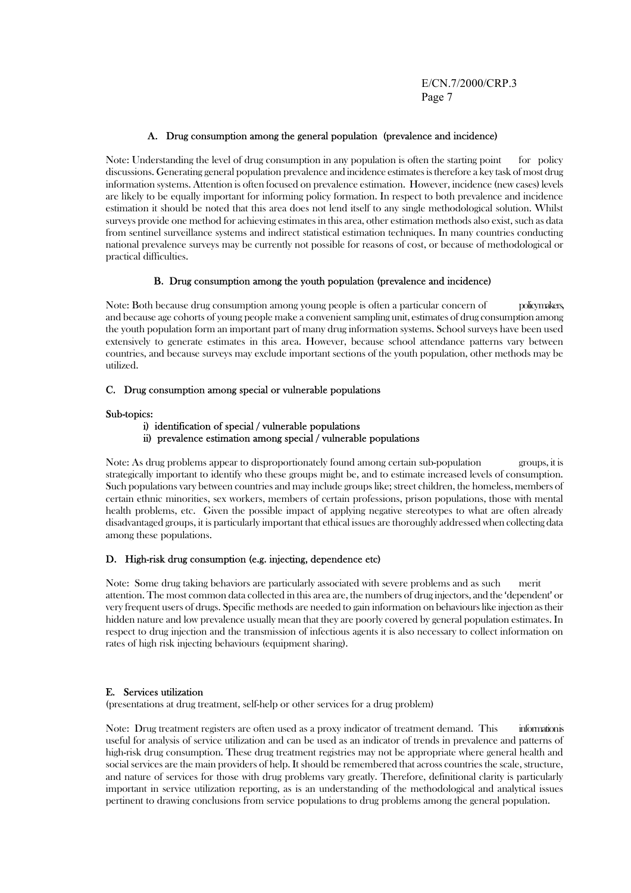## A. Drug consumption among the general population (prevalence and incidence)

Note: Understanding the level of drug consumption in any population is often the starting point for policy discussions. Generating general population prevalence and incidence estimates is therefore a key task of most drug information systems. Attention is often focused on prevalence estimation. However, incidence (new cases) levels are likely to be equally important for informing policy formation. In respect to both prevalence and incidence estimation it should be noted that this area does not lend itself to any single methodological solution. Whilst surveys provide one method for achieving estimates in this area, other estimation methods also exist, such as data from sentinel surveillance systems and indirect statistical estimation techniques. In many countries conducting national prevalence surveys may be currently not possible for reasons of cost, or because of methodological or practical difficulties.

## B. Drug consumption among the youth population (prevalence and incidence)

Note: Both because drug consumption among young people is often a particular concern of policy makers and because age cohorts of young people make a convenient sampling unit, estimates of drug consumption among the youth population form an important part of many drug information systems. School surveys have been used extensively to generate estimates in this area. However, because school attendance patterns vary between countries, and because surveys may exclude important sections of the youth population, other methods may be utilized.

## C. Drug consumption among special or vulnerable populations

## Sub-topics:

- i) identification of special / vulnerable populations
- ii) prevalence estimation among special / vulnerable populations

Note: As drug problems appear to disproportionately found among certain sub-population groups, it is strategically important to identify who these groups might be, and to estimate increased levels of consumption. Such populations vary between countries and may include groups like; street children, the homeless, members of certain ethnic minorities, sex workers, members of certain professions, prison populations, those with mental health problems, etc. Given the possible impact of applying negative stereotypes to what are often already disadvantaged groups, it is particularly important that ethical issues are thoroughly addressed when collecting data among these populations.

## D. High-risk drug consumption (e.g. injecting, dependence etc)

Note: Some drug taking behaviors are particularly associated with severe problems and as such merit attention. The most common data collected in this area are, the numbers of drug injectors, and the 'dependent' or very frequent users of drugs. Specific methods are needed to gain information on behaviours like injection as their hidden nature and low prevalence usually mean that they are poorly covered by general population estimates. In respect to drug injection and the transmission of infectious agents it is also necessary to collect information on rates of high risk injecting behaviours (equipment sharing).

## E. Services utilization

(presentations at drug treatment, self-help or other services for a drug problem)

Note: Drug treatment registers are often used as a proxy indicator of treatment demand. This information is useful for analysis of service utilization and can be used as an indicator of trends in prevalence and patterns of high-risk drug consumption. These drug treatment registries may not be appropriate where general health and social services are the main providers of help. It should be remembered that across countries the scale, structure, and nature of services for those with drug problems vary greatly. Therefore, definitional clarity is particularly important in service utilization reporting, as is an understanding of the methodological and analytical issues pertinent to drawing conclusions from service populations to drug problems among the general population.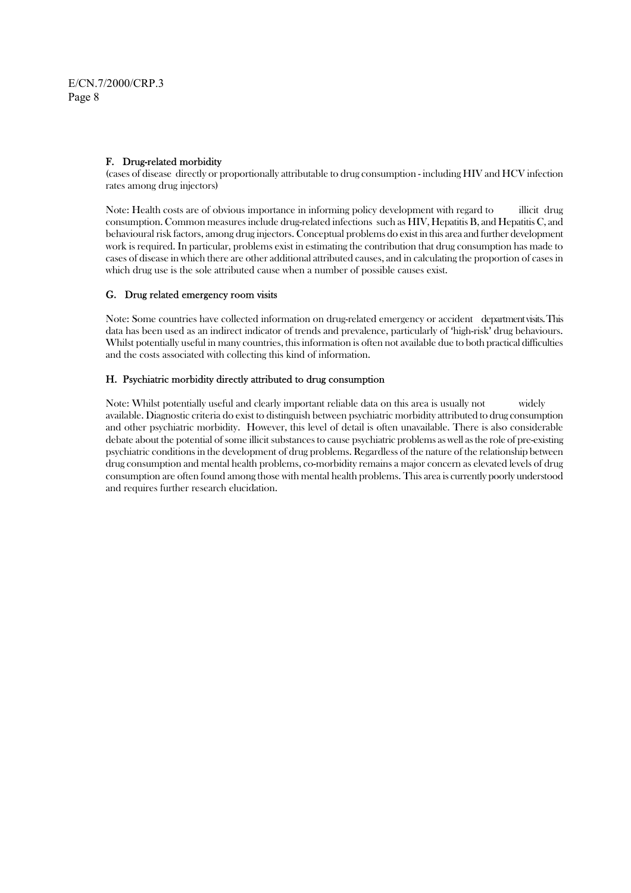## F. Drug-related morbidity

 (cases of disease directly or proportionally attributable to drug consumption - including HIV and HCV infection rates among drug injectors)

Note: Health costs are of obvious importance in informing policy development with regard to illicit drug consumption. Common measures include drug-related infections such as HIV, Hepatitis B, and Hepatitis C, and behavioural risk factors, among drug injectors. Conceptual problems do exist in this area and further development work is required. In particular, problems exist in estimating the contribution that drug consumption has made to cases of disease in which there are other additional attributed causes, and in calculating the proportion of cases in which drug use is the sole attributed cause when a number of possible causes exist.

## G. Drug related emergency room visits

Note: Some countries have collected information on drug-related emergency or accident department visits. This data has been used as an indirect indicator of trends and prevalence, particularly of 'high-risk' drug behaviours. Whilst potentially useful in many countries, this information is often not available due to both practical difficulties and the costs associated with collecting this kind of information.

## H. Psychiatric morbidity directly attributed to drug consumption

Note: Whilst potentially useful and clearly important reliable data on this area is usually not widely available. Diagnostic criteria do exist to distinguish between psychiatric morbidity attributed to drug consumption and other psychiatric morbidity. However, this level of detail is often unavailable. There is also considerable debate about the potential of some illicit substances to cause psychiatric problems as well as the role of pre-existing psychiatric conditions in the development of drug problems. Regardless of the nature of the relationship between drug consumption and mental health problems, co-morbidity remains a major concern as elevated levels of drug consumption are often found among those with mental health problems. This area is currently poorly understood and requires further research elucidation.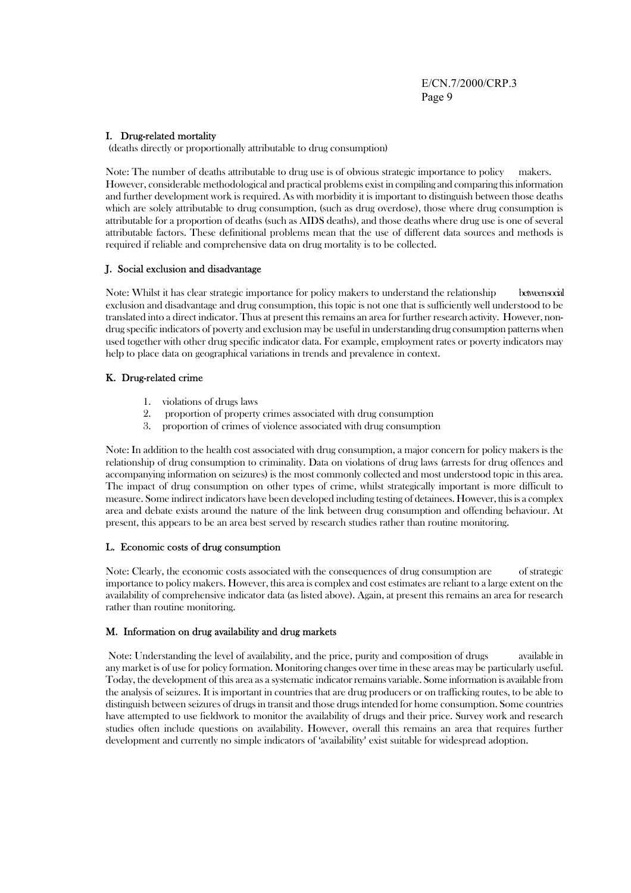#### I. Drug-related mortality

(deaths directly or proportionally attributable to drug consumption)

Note: The number of deaths attributable to drug use is of obvious strategic importance to policy makers. However, considerable methodological and practical problems exist in compiling and comparing this information and further development work is required. As with morbidity it is important to distinguish between those deaths which are solely attributable to drug consumption, (such as drug overdose), those where drug consumption is attributable for a proportion of deaths (such as AIDS deaths), and those deaths where drug use is one of several attributable factors. These definitional problems mean that the use of different data sources and methods is required if reliable and comprehensive data on drug mortality is to be collected.

#### J. Social exclusion and disadvantage

Note: Whilst it has clear strategic importance for policy makers to understand the relationship betweensocial exclusion and disadvantage and drug consumption, this topic is not one that is sufficiently well understood to be translated into a direct indicator. Thus at present this remains an area for further research activity. However, nondrug specific indicators of poverty and exclusion may be useful in understanding drug consumption patterns when used together with other drug specific indicator data. For example, employment rates or poverty indicators may help to place data on geographical variations in trends and prevalence in context.

## K. Drug-related crime

- 1. violations of drugs laws
- 2. proportion of property crimes associated with drug consumption
- 3. proportion of crimes of violence associated with drug consumption

Note: In addition to the health cost associated with drug consumption, a major concern for policy makers is the relationship of drug consumption to criminality. Data on violations of drug laws (arrests for drug offences and accompanying information on seizures) is the most commonly collected and most understood topic in this area. The impact of drug consumption on other types of crime, whilst strategically important is more difficult to measure. Some indirect indicators have been developed including testing of detainees. However, this is a complex area and debate exists around the nature of the link between drug consumption and offending behaviour. At present, this appears to be an area best served by research studies rather than routine monitoring.

#### L. Economic costs of drug consumption

Note: Clearly, the economic costs associated with the consequences of drug consumption are of strategic importance to policy makers. However, this area is complex and cost estimates are reliant to a large extent on the availability of comprehensive indicator data (as listed above). Again, at present this remains an area for research rather than routine monitoring.

#### M. Information on drug availability and drug markets

 Note: Understanding the level of availability, and the price, purity and composition of drugs available in any market is of use for policy formation. Monitoring changes over time in these areas may be particularly useful. Today, the development of this area as a systematic indicator remains variable. Some information is available from the analysis of seizures. It is important in countries that are drug producers or on trafficking routes, to be able to distinguish between seizures of drugs in transit and those drugs intended for home consumption. Some countries have attempted to use fieldwork to monitor the availability of drugs and their price. Survey work and research studies often include questions on availability. However, overall this remains an area that requires further development and currently no simple indicators of 'availability' exist suitable for widespread adoption.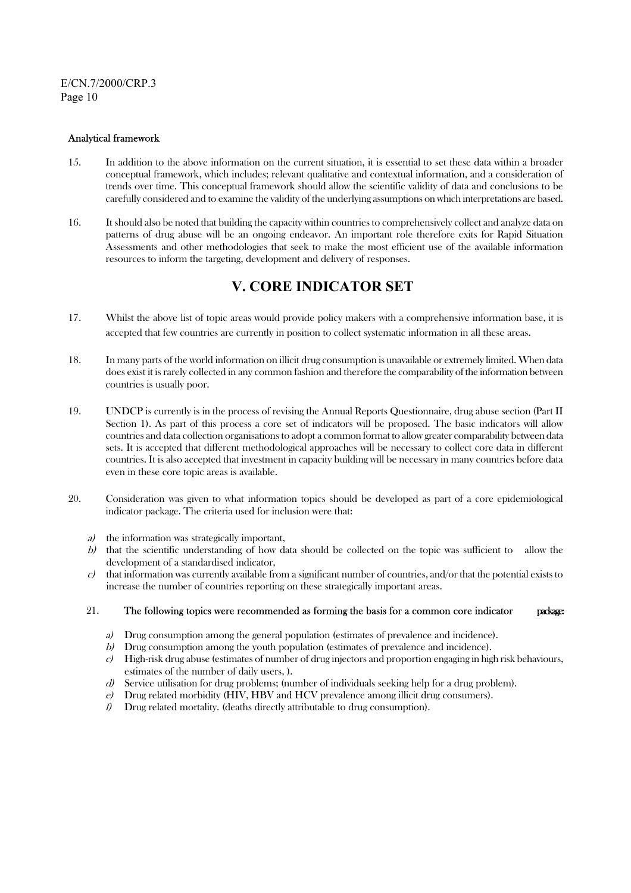## Analytical framework

- 15. In addition to the above information on the current situation, it is essential to set these data within a broader conceptual framework, which includes; relevant qualitative and contextual information, and a consideration of trends over time. This conceptual framework should allow the scientific validity of data and conclusions to be carefully considered and to examine the validity of the underlying assumptions on which interpretations are based.
- 16. It should also be noted that building the capacity within countries to comprehensively collect and analyze data on patterns of drug abuse will be an ongoing endeavor. An important role therefore exits for Rapid Situation Assessments and other methodologies that seek to make the most efficient use of the available information resources to inform the targeting, development and delivery of responses.

# **V. CORE INDICATOR SET**

- 17. Whilst the above list of topic areas would provide policy makers with a comprehensive information base, it is accepted that few countries are currently in position to collect systematic information in all these areas.
- 18. In many parts of the world information on illicit drug consumption is unavailable or extremely limited. When data does exist it is rarely collected in any common fashion and therefore the comparability of the information between countries is usually poor.
- 19. UNDCP is currently is in the process of revising the Annual Reports Questionnaire, drug abuse section (Part II Section 1). As part of this process a core set of indicators will be proposed. The basic indicators will allow countries and data collection organisations to adopt a common format to allow greater comparability between data sets. It is accepted that different methodological approaches will be necessary to collect core data in different countries. It is also accepted that investment in capacity building will be necessary in many countries before data even in these core topic areas is available.
- 20. Consideration was given to what information topics should be developed as part of a core epidemiological indicator package. The criteria used for inclusion were that:
	- a) the information was strategically important,
	- b) that the scientific understanding of how data should be collected on the topic was sufficient to allow the development of a standardised indicator,
	- $c$ ) that information was currently available from a significant number of countries, and/or that the potential exists to increase the number of countries reporting on these strategically important areas.

## 21. The following topics were recommended as forming the basis for a common core indicator package:

- a) Drug consumption among the general population (estimates of prevalence and incidence).
- b) Drug consumption among the youth population (estimates of prevalence and incidence).
- c) High-risk drug abuse (estimates of number of drug injectors and proportion engaging in high risk behaviours, estimates of the number of daily users, ).
- d) Service utilisation for drug problems; (number of individuals seeking help for a drug problem).
- e) Drug related morbidity (HIV, HBV and HCV prevalence among illicit drug consumers).
- $f$  Drug related mortality. (deaths directly attributable to drug consumption).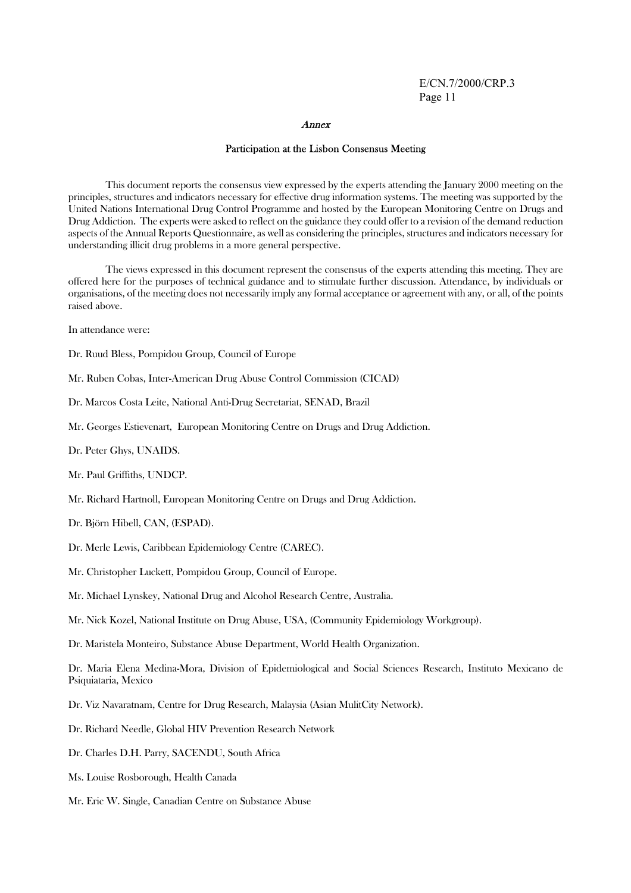#### Annex

#### Participation at the Lisbon Consensus Meeting

This document reports the consensus view expressed by the experts attending the January 2000 meeting on the principles, structures and indicators necessary for effective drug information systems. The meeting was supported by the United Nations International Drug Control Programme and hosted by the European Monitoring Centre on Drugs and Drug Addiction. The experts were asked to reflect on the guidance they could offer to a revision of the demand reduction aspects of the Annual Reports Questionnaire, as well as considering the principles, structures and indicators necessary for understanding illicit drug problems in a more general perspective.

The views expressed in this document represent the consensus of the experts attending this meeting. They are offered here for the purposes of technical guidance and to stimulate further discussion. Attendance, by individuals or organisations, of the meeting does not necessarily imply any formal acceptance or agreement with any, or all, of the points raised above.

In attendance were:

Dr. Ruud Bless, Pompidou Group, Council of Europe

Mr. Ruben Cobas, Inter-American Drug Abuse Control Commission (CICAD)

Dr. Marcos Costa Leite, National Anti-Drug Secretariat, SENAD, Brazil

Mr. Georges Estievenart, European Monitoring Centre on Drugs and Drug Addiction.

Dr. Peter Ghys, UNAIDS.

Mr. Paul Griffiths, UNDCP.

Mr. Richard Hartnoll, European Monitoring Centre on Drugs and Drug Addiction.

Dr. Björn Hibell, CAN, (ESPAD).

Dr. Merle Lewis, Caribbean Epidemiology Centre (CAREC).

Mr. Christopher Luckett, Pompidou Group, Council of Europe.

Mr. Michael Lynskey, National Drug and Alcohol Research Centre, Australia.

Mr. Nick Kozel, National Institute on Drug Abuse, USA, (Community Epidemiology Workgroup).

Dr. Maristela Monteiro, Substance Abuse Department, World Health Organization.

Dr. Maria Elena Medina-Mora, Division of Epidemiological and Social Sciences Research, Instituto Mexicano de Psiquiataria, Mexico

Dr. Viz Navaratnam, Centre for Drug Research, Malaysia (Asian MulitCity Network).

Dr. Richard Needle, Global HIV Prevention Research Network

Dr. Charles D.H. Parry, SACENDU, South Africa

Ms. Louise Rosborough, Health Canada

Mr. Eric W. Single, Canadian Centre on Substance Abuse